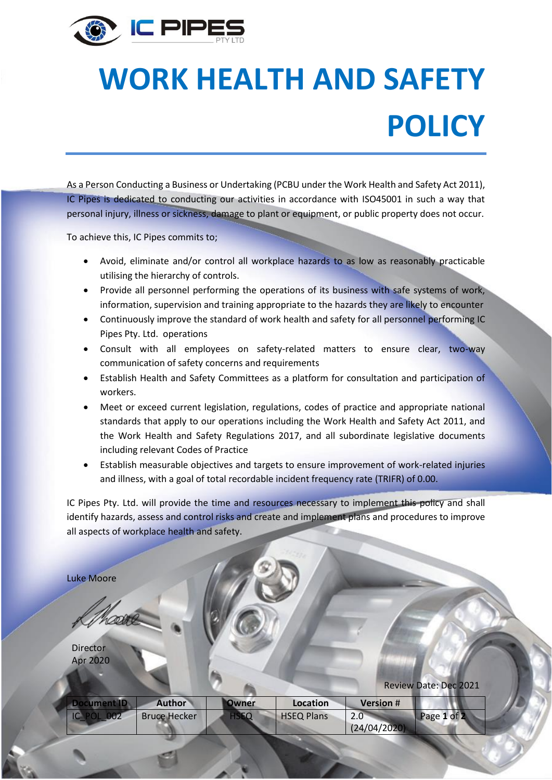

## **WORK HEALTH AND SAFETY POLICY**

As a Person Conducting a Business or Undertaking (PCBU under the Work Health and Safety Act 2011), IC Pipes is dedicated to conducting our activities in accordance with ISO45001 in such a way that personal injury, illness or sickness, damage to plant or equipment, or public property does not occur.

To achieve this, IC Pipes commits to;

- Avoid, eliminate and/or control all workplace hazards to as low as reasonably practicable utilising the hierarchy of controls.
- Provide all personnel performing the operations of its business with safe systems of work, information, supervision and training appropriate to the hazards they are likely to encounter
- Continuously improve the standard of work health and safety for all personnel performing IC Pipes Pty. Ltd. operations
- Consult with all employees on safety-related matters to ensure clear, two-way communication of safety concerns and requirements
- Establish Health and Safety Committees as a platform for consultation and participation of workers.
- Meet or exceed current legislation, regulations, codes of practice and appropriate national standards that apply to our operations including the Work Health and Safety Act 2011, and the Work Health and Safety Regulations 2017, and all subordinate legislative documents including relevant Codes of Practice
- Establish measurable objectives and targets to ensure improvement of work-related injuries and illness, with a goal of total recordable incident frequency rate (TRIFR) of 0.00.

IC Pipes Pty. Ltd. will provide the time and resources necessary to implement this policy and shall identify hazards, assess and control risks and create and implement plans and procedures to improve all aspects of workplace health and safety.